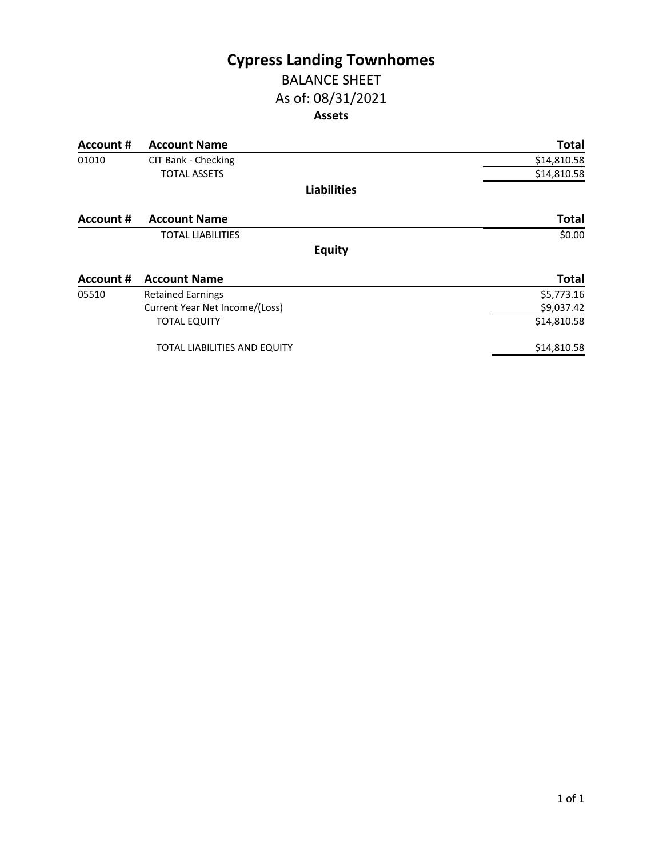# **Cypress Landing Townhomes**

## BALANCE SHEET As of: 08/31/2021 **Assets**

| <b>Account #</b> | <b>Account Name</b>            | <b>Total</b> |
|------------------|--------------------------------|--------------|
| 01010            | CIT Bank - Checking            | \$14,810.58  |
|                  | <b>TOTAL ASSETS</b>            | \$14,810.58  |
|                  | <b>Liabilities</b>             |              |
| Account #        | <b>Account Name</b>            | <b>Total</b> |
|                  | <b>TOTAL LIABILITIES</b>       | \$0.00       |
|                  | <b>Equity</b>                  |              |
| Account #        | <b>Account Name</b>            | <b>Total</b> |
| 05510            | <b>Retained Earnings</b>       | \$5,773.16   |
|                  | Current Year Net Income/(Loss) | \$9,037.42   |
|                  | <b>TOTAL EQUITY</b>            | \$14,810.58  |
|                  | TOTAL LIABILITIES AND EQUITY   | \$14,810.58  |